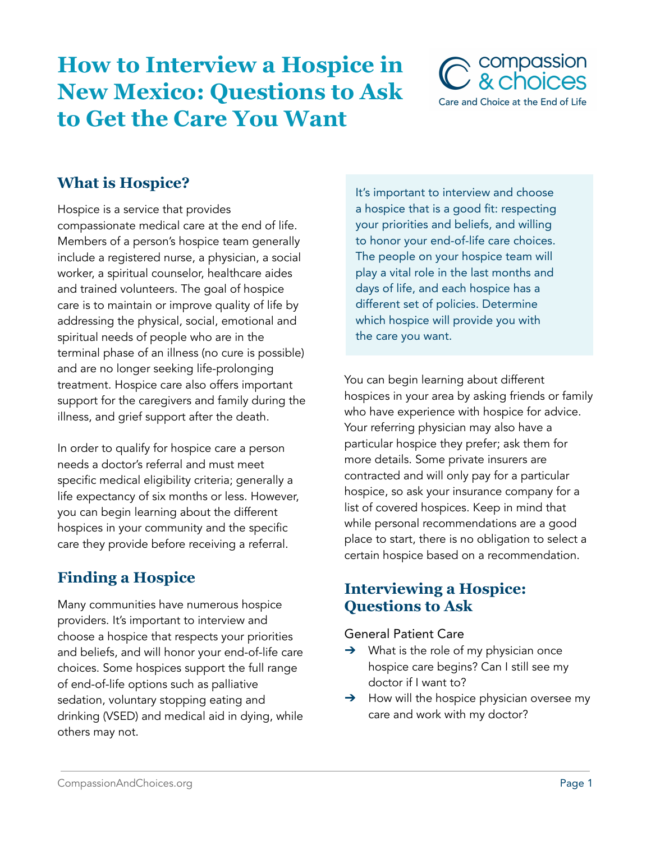# **How to Interview a Hospice in New Mexico: Questions to Ask to Get the Care You Want**



## **What is Hospice?**

Hospice is a service that provides compassionate medical care at the end of life. Members of a person's hospice team generally include a registered nurse, a physician, a social worker, a spiritual counselor, healthcare aides and trained volunteers. The goal of hospice care is to maintain or improve quality of life by addressing the physical, social, emotional and spiritual needs of people who are in the terminal phase of an illness (no cure is possible) and are no longer seeking life-prolonging treatment. Hospice care also offers important support for the caregivers and family during the illness, and grief support after the death.

In order to qualify for hospice care a person needs a doctor's referral and must meet specific medical eligibility criteria; generally a life expectancy of six months or less. However, you can begin learning about the different hospices in your community and the specific care they provide before receiving a referral.

# **Finding a Hospice**

Many communities have numerous hospice providers. It's important to interview and choose a hospice that respects your priorities and beliefs, and will honor your end-of-life care choices. Some hospices support the full range of end-of-life options such as palliative sedation, voluntary stopping eating and drinking (VSED) and medical aid in dying, while others may not.

It's important to interview and choose a hospice that is a good fit: respecting your priorities and beliefs, and willing to honor your end-of-life care choices. The people on your hospice team will play a vital role in the last months and days of life, and each hospice has a different set of policies. Determine which hospice will provide you with the care you want.

You can begin learning about different hospices in your area by asking friends or family who have experience with hospice for advice. Your referring physician may also have a particular hospice they prefer; ask them for more details. Some private insurers are contracted and will only pay for a particular hospice, so ask your insurance company for a list of covered hospices. Keep in mind that while personal recommendations are a good place to start, there is no obligation to select a certain hospice based on a recommendation.

### **Interviewing a Hospice: Questions to Ask**

#### General Patient Care

- $\rightarrow$  What is the role of my physician once hospice care begins? Can I still see my doctor if I want to?
- $\rightarrow$  How will the hospice physician oversee my care and work with my doctor?